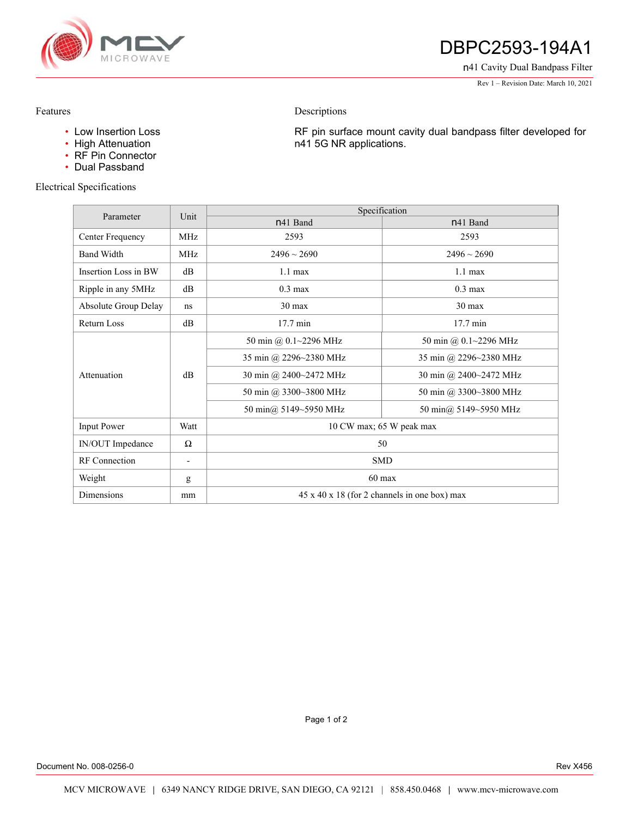

# DBPC2593-194A1

n41 Cavity Dual Bandpass Filter

Rev 1 – Revision Date: March 10, 2021

### Features

• Low Insertion Loss

- High Attenuation
- RF Pin Connector
- Dual Passband

## Electrical Specifications

RF pin surface mount cavity dual bandpass filter developed for n41 5G NR applications.

| Parameter            | Unit                     | Specification                                            |                        |
|----------------------|--------------------------|----------------------------------------------------------|------------------------|
|                      |                          | n41 Band                                                 | n <sub>41</sub> Band   |
| Center Frequency     | <b>MHz</b>               | 2593                                                     | 2593                   |
| <b>Band Width</b>    | <b>MHz</b>               | $2496 \sim 2690$                                         | $2496 \sim 2690$       |
| Insertion Loss in BW | dB                       | $1.1 \text{ max}$                                        | $1.1 \text{ max}$      |
| Ripple in any 5MHz   | dB                       | $0.3 \text{ max}$                                        | $0.3 \text{ max}$      |
| Absolute Group Delay | ns                       | 30 max                                                   | $30 \text{ max}$       |
| Return Loss          | dB                       | $17.7 \text{ min}$                                       | $17.7 \text{ min}$     |
| Attenuation          | dB                       | 50 min @ 0.1~2296 MHz                                    | 50 min @ 0.1~2296 MHz  |
|                      |                          | 35 min @ 2296~2380 MHz                                   | 35 min @ 2296~2380 MHz |
|                      |                          | 30 min @ 2400~2472 MHz                                   | 30 min @ 2400~2472 MHz |
|                      |                          | 50 min @ 3300~3800 MHz                                   | 50 min @ 3300~3800 MHz |
|                      |                          | 50 min@ 5149~5950 MHz                                    | 50 min@ 5149~5950 MHz  |
| <b>Input Power</b>   | Watt                     | 10 CW max; 65 W peak max                                 |                        |
| IN/OUT Impedance     | $\Omega$                 | 50                                                       |                        |
| <b>RF</b> Connection | $\overline{\phantom{a}}$ | <b>SMD</b>                                               |                        |
| Weight               | g                        | $60 \text{ max}$                                         |                        |
| <b>Dimensions</b>    | mm                       | $45 \times 40 \times 18$ (for 2 channels in one box) max |                        |

Descriptions

Page 1 of 2